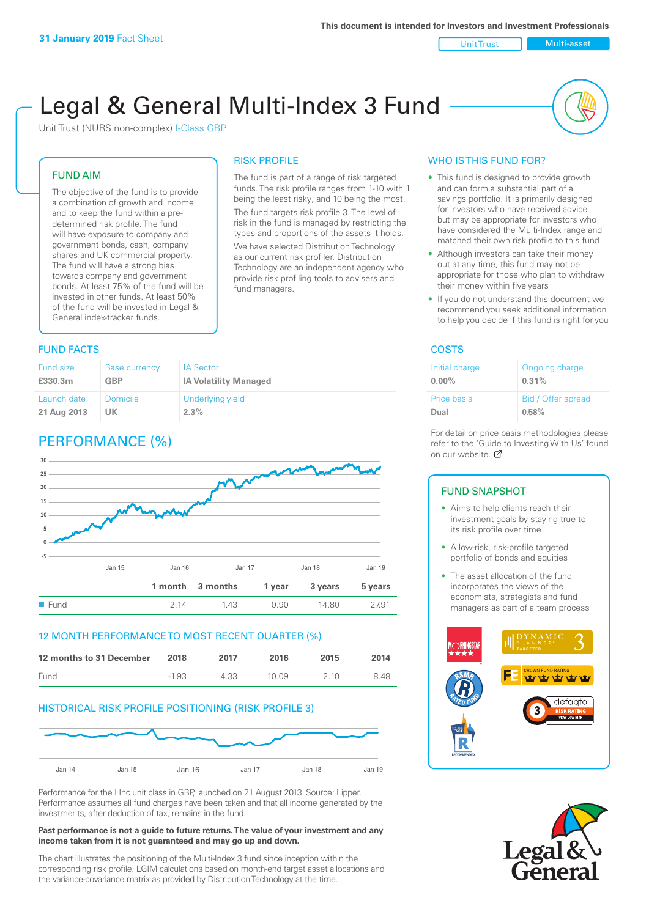Unit Trust Nulti-asset

# Legal & General Multi-Index 3 Fund

RISK PROFILE

fund managers.

The fund is part of a range of risk targeted funds. The risk profile ranges from 1-10 with 1 being the least risky, and 10 being the most. The fund targets risk profile 3. The level of risk in the fund is managed by restricting the types and proportions of the assets it holds. We have selected Distribution Technology as our current risk profiler. Distribution Technology are an independent agency who provide risk profiling tools to advisers and

Unit Trust (NURS non-complex) I-Class GBP

#### FUND AIM

The objective of the fund is to provide a combination of growth and income and to keep the fund within a predetermined risk profile. The fund will have exposure to company and government bonds, cash, company shares and UK commercial property. The fund will have a strong bias towards company and government bonds. At least 75% of the fund will be invested in other funds. At least 50% of the fund will be invested in Legal & General index-tracker funds.

### **FUND FACTS** COSTS

| <b>Fund size</b> | <b>Base currency</b> | <b>IA Sector</b>             |
|------------------|----------------------|------------------------------|
| £330.3m          | <b>GBP</b>           | <b>IA Volatility Managed</b> |
| Launch date      | Domicile             | Underlying yield             |
| 21 Aug 2013      | UK                   | 2.3%                         |

## PERFORMANCE (%)



#### 12 MONTH PERFORMANCE TO MOST RECENT QUARTER (%)

| 12 months to 31 December | 2018    | 2017 | 2016   | 2015  | 2014 |
|--------------------------|---------|------|--------|-------|------|
| Fund                     | $-1.93$ | 4.33 | 10 O.9 | 2 1 0 | 848  |

#### HISTORICAL RISK PROFILE POSITIONING (RISK PROFILE 3)



Performance for the I Inc unit class in GBP, launched on 21 August 2013. Source: Lipper. Performance assumes all fund charges have been taken and that all income generated by the investments, after deduction of tax, remains in the fund.

#### **Past performance is not a guide to future returns. The value of your investment and any income taken from it is not guaranteed and may go up and down.**

The chart illustrates the positioning of the Multi-Index 3 fund since inception within the corresponding risk profile. LGIM calculations based on month-end target asset allocations and the variance-covariance matrix as provided by Distribution Technology at the time.

#### WHO IS THIS FUND FOR?

- This fund is designed to provide growth and can form a substantial part of a savings portfolio. It is primarily designed for investors who have received advice but may be appropriate for investors who have considered the Multi-Index range and matched their own risk profile to this fund
- Although investors can take their money out at any time, this fund may not be appropriate for those who plan to withdraw their money within five years
- If you do not understand this document we recommend you seek additional information to help you decide if this fund is right for you

| Initial charge | Ongoing charge     |
|----------------|--------------------|
| $0.00\%$       | 0.31%              |
| Price basis    | Bid / Offer spread |
| Dual           | 0.58%              |

For detail on price basis methodologies please refer to the 'Gu[ide t](http://www.legalandgeneral.com/guide)o Investing With Us' found on our website. Ø

#### FUND SNAPSHOT

- Aims to help clients reach their investment goals by staying true to its risk profile over time
- A low-risk, risk-profile targeted portfolio of bonds and equities
- The asset allocation of the fund incorporates the views of the economists, strategists and fund managers as part of a team process



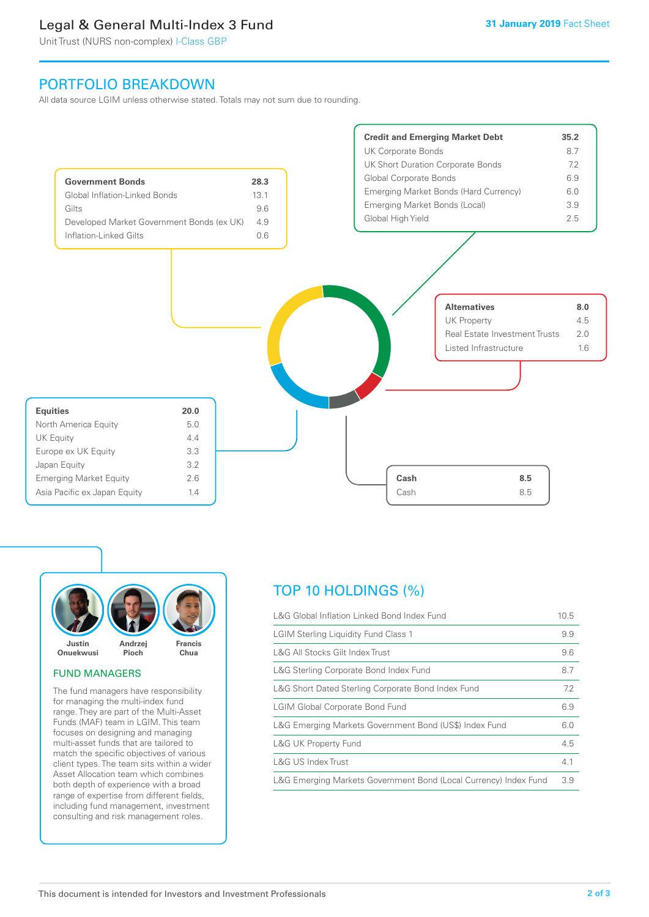### Legal & General Multi-Index 3 Fund

Unit Trust (NURS non-complex) I-Class GBP

### PORTFOLIO BREAKDOWN

All data source LGIM unless otherwise stated. Totals may not sum due to rounding.





#### FUND MANAGERS

The fund managers have responsibility for managing the multi-index fund range. They are part of the Multi-Asset Funds (MAF) team in LGIM. This team focuses on designing and managing multi-asset funds that are tailored to match the specific objectives of various client types. The team sits within a wider Asset Allocation team which combines both depth of experience with a broad range of expertise from different fields, including fund management, investment consulting and risk management roles.

### TOP 10 HOLDINGS (%)

| L&G Global Inflation Linked Bond Index Fund                      | 10.5 |
|------------------------------------------------------------------|------|
| <b>LGIM Sterling Liquidity Fund Class 1</b>                      | 9.9  |
| L&G All Stocks Gilt Index Trust                                  | 9.6  |
| L&G Sterling Corporate Bond Index Fund                           | 8.7  |
| L&G Short Dated Sterling Corporate Bond Index Fund               | 7.2  |
| <b>LGIM Global Corporate Bond Fund</b>                           | 6.9  |
| L&G Emerging Markets Government Bond (US\$) Index Fund           | 6.0  |
| L&G UK Property Fund                                             | 4.5  |
| L&G US Index Trust                                               | 4.1  |
| L&G Emerging Markets Government Bond (Local Currency) Index Fund | 3.9  |